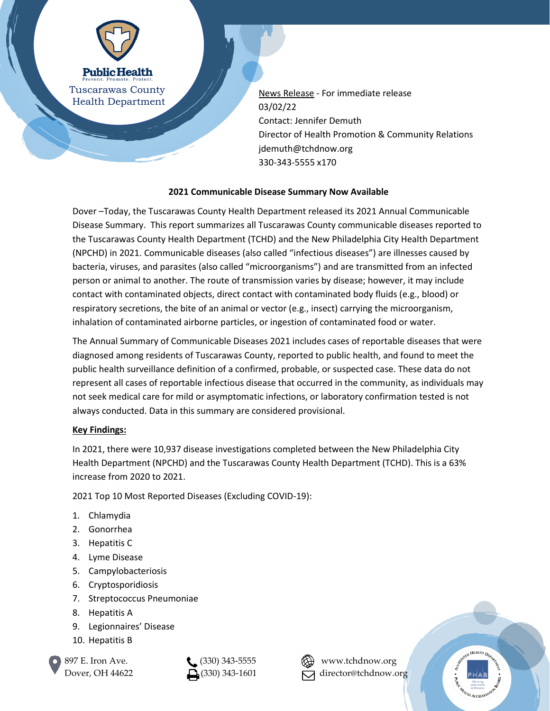

News Release - For immediate release 03/02/22 Contact: Jennifer Demuth Director of Health Promotion & Community Relations jdemuth@tchdnow.org 330-343-5555 x170

## **2021 Communicable Disease Summary Now Available**

Dover –Today, the Tuscarawas County Health Department released its 2021 Annual Communicable Disease Summary. This report summarizes all Tuscarawas County communicable diseases reported to the Tuscarawas County Health Department (TCHD) and the New Philadelphia City Health Department (NPCHD) in 2021. Communicable diseases (also called "infectious diseases") are illnesses caused by bacteria, viruses, and parasites (also called "microorganisms") and are transmitted from an infected person or animal to another. The route of transmission varies by disease; however, it may include contact with contaminated objects, direct contact with contaminated body fluids (e.g., blood) or respiratory secretions, the bite of an animal or vector (e.g., insect) carrying the microorganism, inhalation of contaminated airborne particles, or ingestion of contaminated food or water.

The Annual Summary of Communicable Diseases 2021 includes cases of reportable diseases that were diagnosed among residents of Tuscarawas County, reported to public health, and found to meet the public health surveillance definition of a confirmed, probable, or suspected case. These data do not represent all cases of reportable infectious disease that occurred in the community, as individuals may not seek medical care for mild or asymptomatic infections, or laboratory confirmation tested is not always conducted. Data in this summary are considered provisional.

## **Key Findings:**

In 2021, there were 10,937 disease investigations completed between the New Philadelphia City Health Department (NPCHD) and the Tuscarawas County Health Department (TCHD). This is a 63% increase from 2020 to 2021.

2021 Top 10 Most Reported Diseases (Excluding COVID-19):

- 1. Chlamydia
- 2. Gonorrhea
- 3. Hepatitis C
- 4. Lyme Disease
- 5. Campylobacteriosis
- 6. Cryptosporidiosis
- 7. Streptococcus Pneumoniae
- 8. Hepatitis A
- 9. Legionnaires' Disease
- 10. Hepatitis B







Dover, OH 44622  $\Box$  (330) 343-1601  $\Box$  director@tchdnow.org